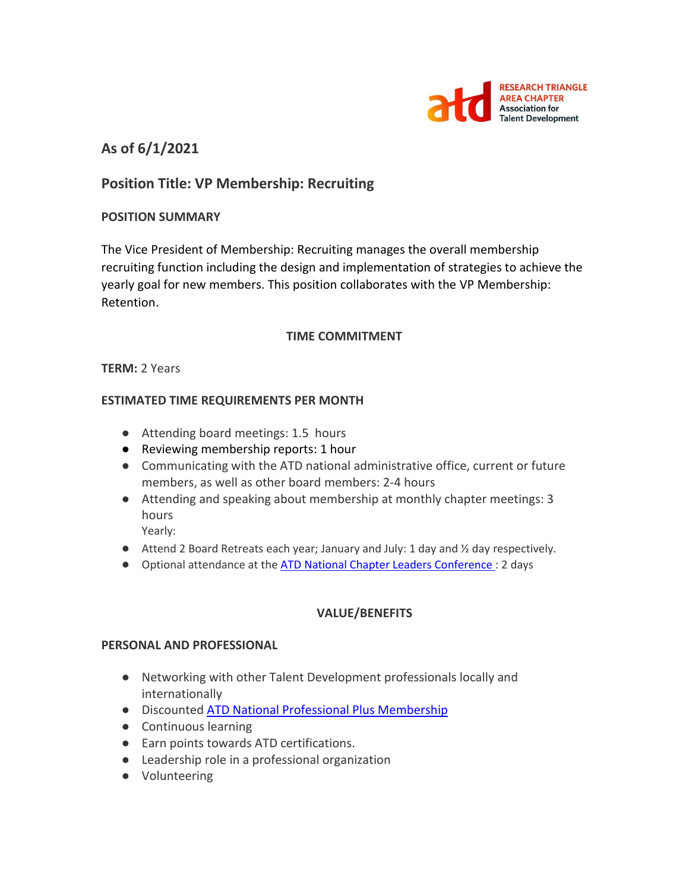

# **As of 6/1/2021**

# **Position Title: VP Membership: Recruiting**

### **POSITION SUMMARY**

The Vice President of Membership: Recruiting manages the overall membership recruiting function including the design and implementation of strategies to achieve the yearly goal for new members. This position collaborates with the VP Membership: Retention.

#### **TIME COMMITMENT**

#### **TERM:** 2 Years

#### **ESTIMATED TIME REQUIREMENTS PER MONTH**

- Attending board meetings: 1.5 hours
- Reviewing membership reports: 1 hour
- Communicating with the ATD national administrative office, current or future members, as well as other board members: 2-4 hours
- Attending and speaking about membership at monthly chapter meetings: 3 hours

Yearly:

- $\bullet$  Attend 2 Board Retreats each year; January and July: 1 day and  $\frac{1}{2}$  day respectively.
- Optional attendance at the **ATD National Chapter Leaders Conference** : 2 days

## **VALUE/BENEFITS**

#### **PERSONAL AND PROFESSIONAL**

- Networking with other Talent Development professionals locally and internationally
- Discounted [ATD National Professional Plus Membership](https://checkout.td.org/Membership)
- Continuous learning
- Earn points towards ATD certifications.
- Leadership role in a professional organization
- Volunteering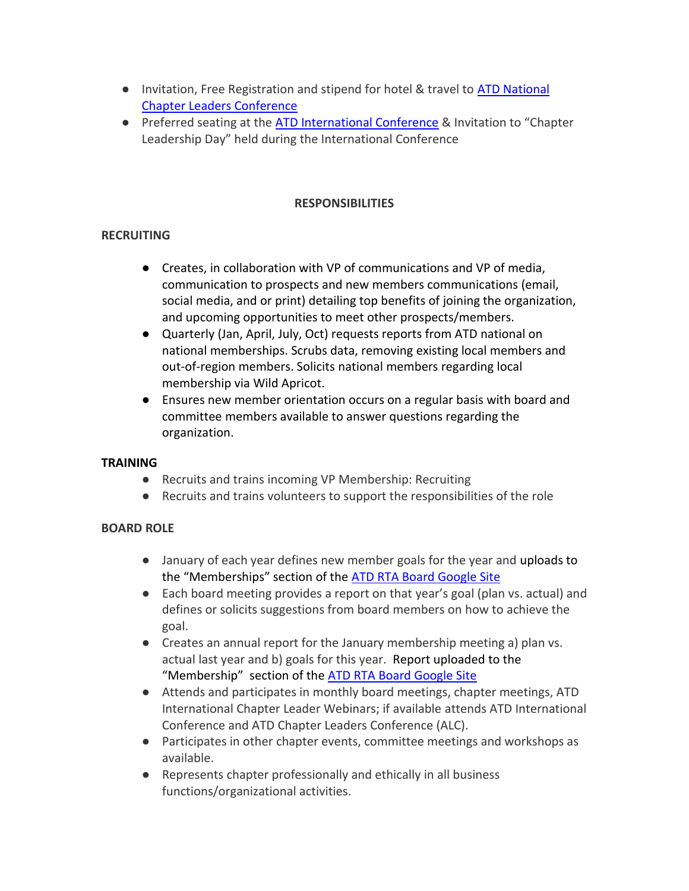- Invitation, Free Registration and stipend for hotel & travel to ATD National [Chapter Leaders Conference](https://events.td.org/Chapter-Leaders-Conference)
- Preferred seating at the [ATD International Conference](https://www.td.org/events) & Invitation to "Chapter Leadership Day" held during the International Conference

# **RESPONSIBILITIES**

# **RECRUITING**

- Creates, in collaboration with VP of communications and VP of media, communication to prospects and new members communications (email, social media, and or print) detailing top benefits of joining the organization, and upcoming opportunities to meet other prospects/members.
- Quarterly (Jan, April, July, Oct) requests reports from ATD national on national memberships. Scrubs data, removing existing local members and out-of-region members. Solicits national members regarding local membership via Wild Apricot.
- Ensures new member orientation occurs on a regular basis with board and committee members available to answer questions regarding the organization.

## **TRAINING**

- Recruits and trains incoming VP Membership: Recruiting
- Recruits and trains volunteers to support the responsibilities of the role

# **BOARD ROLE**

- January of each year defines new member goals for the year and uploads to the "Memberships" section of the [ATD RTA Board Google Site](https://sites.google.com/site/rtaboardofdirectors/home)
- Each board meeting provides a report on that year's goal (plan vs. actual) and defines or solicits suggestions from board members on how to achieve the goal.
- Creates an annual report for the January membership meeting a) plan vs. actual last year and b) goals for this year. Report uploaded to the "Membership" section of the [ATD RTA Board Google Site](https://sites.google.com/site/rtaboardofdirectors/home)
- Attends and participates in monthly board meetings, chapter meetings, ATD International Chapter Leader Webinars; if available attends ATD International Conference and ATD Chapter Leaders Conference (ALC).
- Participates in other chapter events, committee meetings and workshops as available.
- Represents chapter professionally and ethically in all business functions/organizational activities.